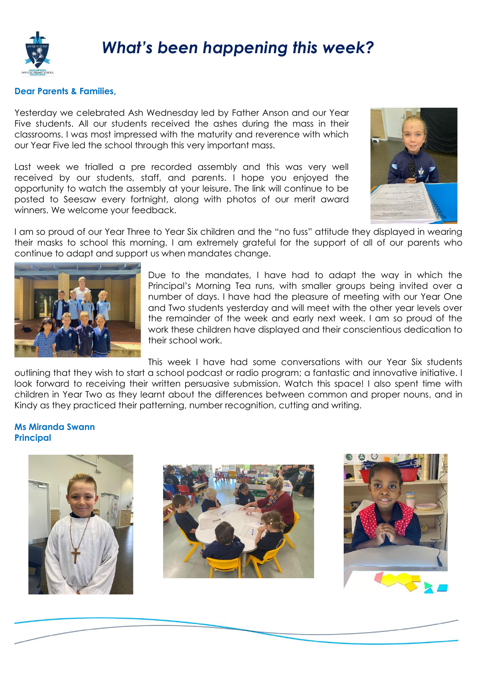

## **Dear Parents & Families,**

Yesterday we celebrated Ash Wednesday led by Father Anson and our Year Five students. All our students received the ashes during the mass in their classrooms. I was most impressed with the maturity and reverence with which our Year Five led the school through this very important mass.

Last week we trialled a pre recorded assembly and this was very well received by our students, staff, and parents. I hope you enjoyed the opportunity to watch the assembly at your leisure. The link will continue to be posted to Seesaw every fortnight, along with photos of our merit award winners. We welcome your feedback.



I am so proud of our Year Three to Year Six children and the "no fuss" attitude they displayed in wearing their masks to school this morning. I am extremely grateful for the support of all of our parents who continue to adapt and support us when mandates change.



Due to the mandates, I have had to adapt the way in which the Principal's Morning Tea runs, with smaller groups being invited over a number of days. I have had the pleasure of meeting with our Year One and Two students yesterday and will meet with the other year levels over the remainder of the week and early next week. I am so proud of the work these children have displayed and their conscientious dedication to their school work.

This week I have had some conversations with our Year Six students outlining that they wish to start a school podcast or radio program; a fantastic and innovative initiative. I look forward to receiving their written persuasive submission. Watch this space! I also spent time with children in Year Two as they learnt about the differences between common and proper nouns, and in Kindy as they practiced their patterning, number recognition, cutting and writing.

## **Ms Miranda Swann Principal**